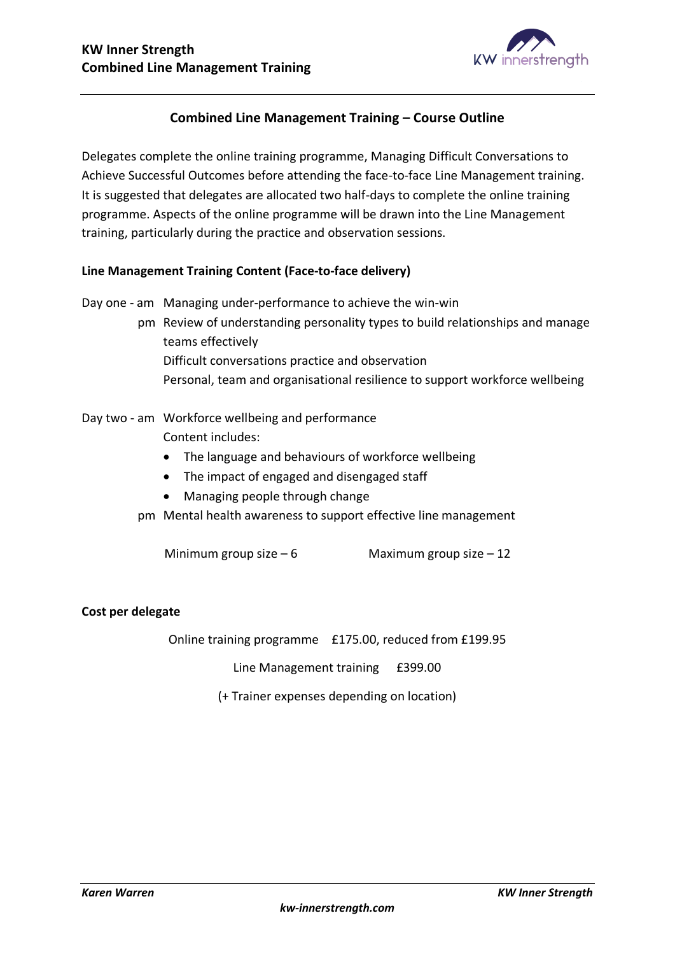

## **Combined Line Management Training – Course Outline**

Delegates complete the online training programme, Managing Difficult Conversations to Achieve Successful Outcomes before attending the face-to-face Line Management training. It is suggested that delegates are allocated two half-days to complete the online training programme. Aspects of the online programme will be drawn into the Line Management training, particularly during the practice and observation sessions.

## **Line Management Training Content (Face-to-face delivery)**

Day one - am Managing under-performance to achieve the win-win

pm Review of understanding personality types to build relationships and manage teams effectively Difficult conversations practice and observation Personal, team and organisational resilience to support workforce wellbeing

- Day two am Workforce wellbeing and performance Content includes:
	- The language and behaviours of workforce wellbeing
	- The impact of engaged and disengaged staff
	- Managing people through change
	- pm Mental health awareness to support effective line management

Minimum group size  $-6$  Maximum group size  $-12$ 

## **Cost per delegate**

Online training programme £175.00, reduced from £199.95

Line Management training £399.00

(+ Trainer expenses depending on location)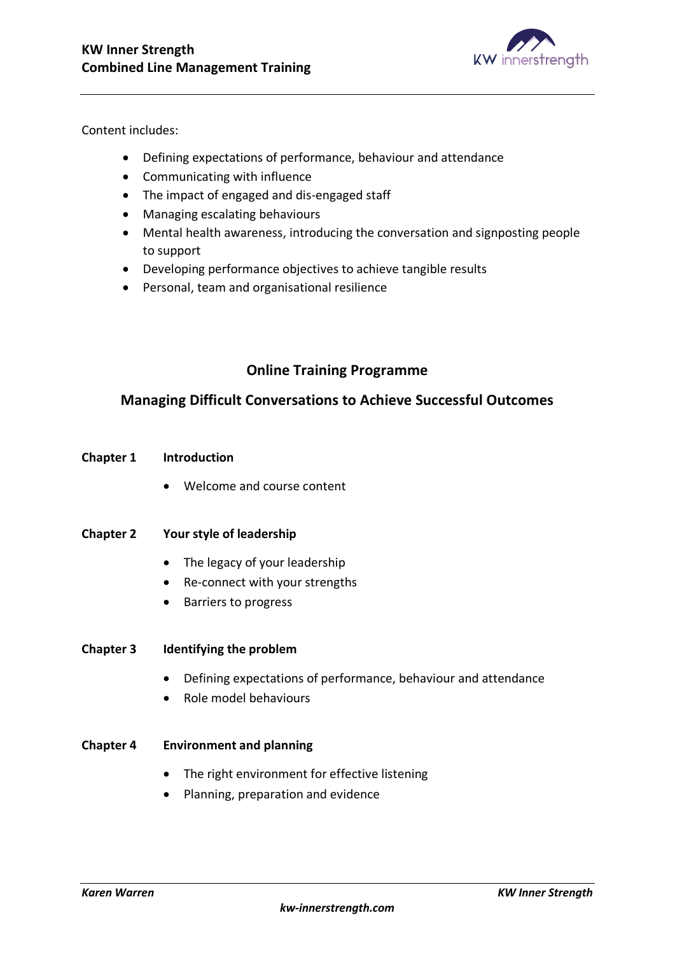

Content includes:

- Defining expectations of performance, behaviour and attendance
- Communicating with influence
- The impact of engaged and dis-engaged staff
- Managing escalating behaviours
- Mental health awareness, introducing the conversation and signposting people to support
- Developing performance objectives to achieve tangible results
- Personal, team and organisational resilience

# **Online Training Programme**

## **Managing Difficult Conversations to Achieve Successful Outcomes**

## **Chapter 1 Introduction**

• Welcome and course content

## **Chapter 2 Your style of leadership**

- The legacy of your leadership
- Re-connect with your strengths
- Barriers to progress

## **Chapter 3 Identifying the problem**

- Defining expectations of performance, behaviour and attendance
- Role model behaviours

## **Chapter 4 Environment and planning**

- The right environment for effective listening
- Planning, preparation and evidence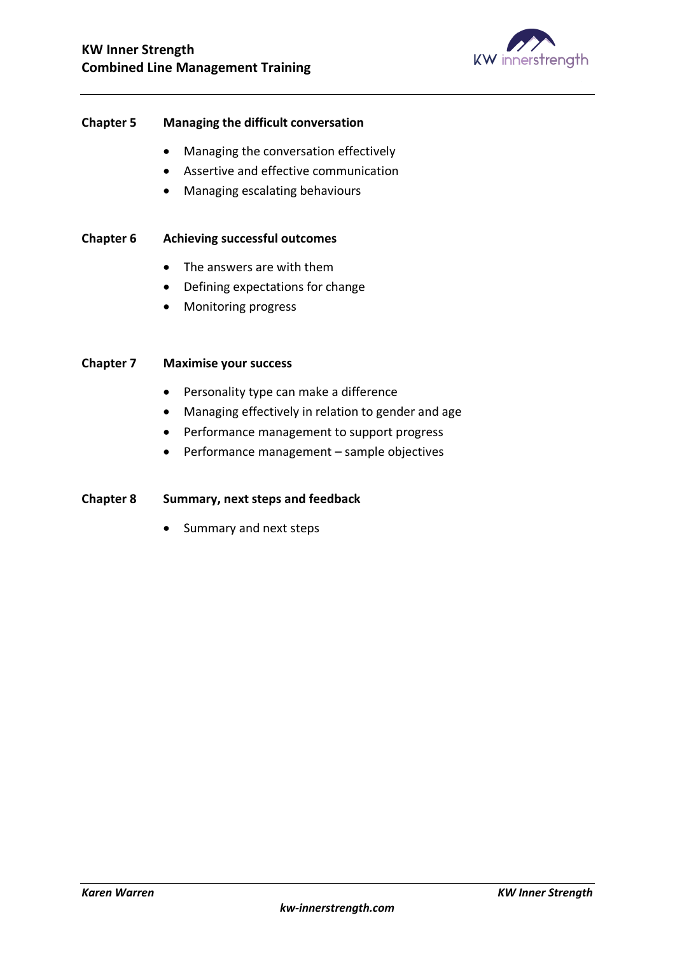

## **Chapter 5 Managing the difficult conversation**

- Managing the conversation effectively
- Assertive and effective communication
- Managing escalating behaviours

## **Chapter 6 Achieving successful outcomes**

- The answers are with them
- Defining expectations for change
- Monitoring progress

#### **Chapter 7 Maximise your success**

- Personality type can make a difference
- Managing effectively in relation to gender and age
- Performance management to support progress
- Performance management sample objectives

#### **Chapter 8 Summary, next steps and feedback**

• Summary and next steps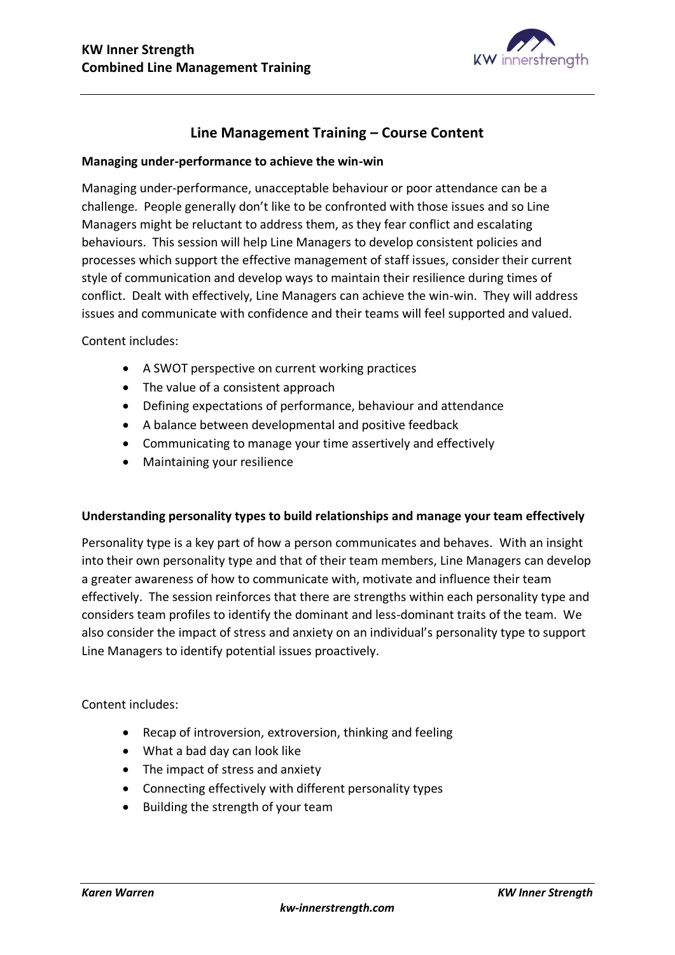

# **Line Management Training – Course Content**

#### **Managing under-performance to achieve the win-win**

Managing under-performance, unacceptable behaviour or poor attendance can be a challenge. People generally don't like to be confronted with those issues and so Line Managers might be reluctant to address them, as they fear conflict and escalating behaviours. This session will help Line Managers to develop consistent policies and processes which support the effective management of staff issues, consider their current style of communication and develop ways to maintain their resilience during times of conflict. Dealt with effectively, Line Managers can achieve the win-win. They will address issues and communicate with confidence and their teams will feel supported and valued.

Content includes:

- A SWOT perspective on current working practices
- The value of a consistent approach
- Defining expectations of performance, behaviour and attendance
- A balance between developmental and positive feedback
- Communicating to manage your time assertively and effectively
- Maintaining your resilience

#### **Understanding personality types to build relationships and manage your team effectively**

Personality type is a key part of how a person communicates and behaves. With an insight into their own personality type and that of their team members, Line Managers can develop a greater awareness of how to communicate with, motivate and influence their team effectively. The session reinforces that there are strengths within each personality type and considers team profiles to identify the dominant and less-dominant traits of the team. We also consider the impact of stress and anxiety on an individual's personality type to support Line Managers to identify potential issues proactively.

Content includes:

- Recap of introversion, extroversion, thinking and feeling
- What a bad day can look like
- The impact of stress and anxiety
- Connecting effectively with different personality types
- Building the strength of your team